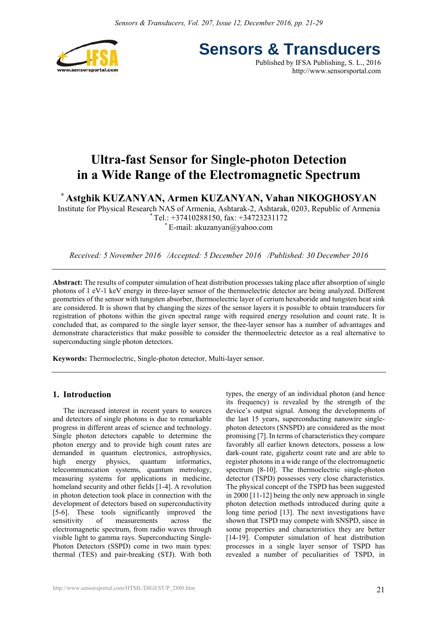

**Sensors & Transducers**

Published by IFSA Publishing, S. L., 2016 http://www.sensorsportal.com

# **Ultra-fast Sensor for Single-photon Detection in a Wide Range of the Electromagnetic Spectrum**

**\* Astghik KUZANYAN, Armen KUZANYAN, Vahan NIKOGHOSYAN** 

Institute for Physical Research NAS of Armenia, Ashtarak-2, Ashtarak, 0203, Republic of Armenia

\* Tel.: +37410288150, fax: +34723231172

 $E$ -mail: akuzanyan $@$ yahoo.com

*Received: 5 November 2016 /Accepted: 5 December 2016 /Published: 30 December 2016* 

**Abstract:** The results of computer simulation of heat distribution processes taking place after absorption of single photons of 1 eV-1 keV energy in three-layer sensor of the thermoelectric detector are being analyzed. Different geometries of the sensor with tungsten absorber, thermoelectric layer of cerium hexaboride and tungsten heat sink are considered. It is shown that by changing the sizes of the sensor layers it is possible to obtain transducers for registration of photons within the given spectral range with required energy resolution and count rate. It is concluded that, as compared to the single layer sensor, the thee-layer sensor has a number of advantages and demonstrate characteristics that make possible to consider the thermoelectric detector as a real alternative to superconducting single photon detectors.

**Keywords:** Thermoelectric, Single-photon detector, Multi-layer sensor.

# **1. Introduction**

The increased interest in recent years to sources and detectors of single photons is due to remarkable progress in different areas of science and technology. Single photon detectors capable to determine the photon energy and to provide high count rates are demanded in quantum electronics, astrophysics, high energy physics, quantum informatics, telecommunication systems, quantum metrology, measuring systems for applications in medicine, homeland security and other fields [1-4]. A revolution in photon detection took place in connection with the development of detectors based on superconductivity [5-6]. These tools significantly improved the sensitivity of measurements across the electromagnetic spectrum, from radio waves through visible light to gamma rays. Superconducting Single-Photon Detectors (SSPD) come in two main types: thermal (TES) and pair-breaking (STJ). With both types, the energy of an individual photon (and hence its frequency) is revealed by the strength of the device's output signal. Among the developments of the last 15 years, superconducting nanowire singlephoton detectors (SNSPD) are considered as the most promising [7]. In terms of characteristics they compare favorably all earlier known detectors, possess a low dark-count rate, gigahertz count rate and are able to register photons in a wide range of the electromagnetic spectrum [8-10]. The thermoelectric single-photon detector (TSPD) possesses very close characteristics. The physical concept of the TSPD has been suggested in 2000 [11-12] being the only new approach in single photon detection methods introduced during quite a long time period [13]. The next investigations have shown that TSPD may compete with SNSPD, since in some properties and characteristics they are better [14-19]. Computer simulation of heat distribution processes in a single layer sensor of TSPD has revealed a number of peculiarities of TSPD, in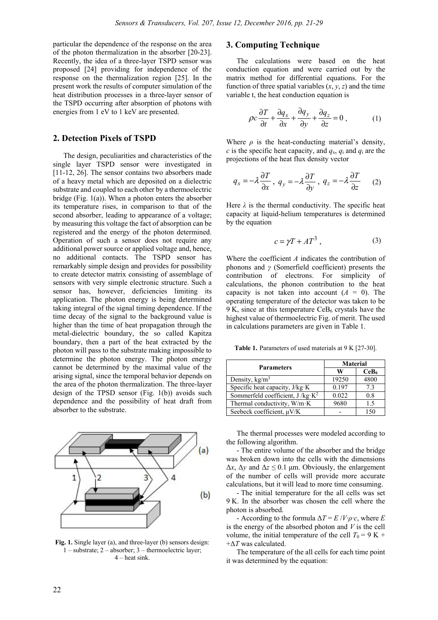particular the dependence of the response on the area of the photon thermalization in the absorber [20-23]. Recently, the idea of a three-layer TSPD sensor was proposed [24] providing for independence of the response on the thermalization region [25]. In the present work the results of computer simulation of the heat distribution processes in a three-layer sensor of the TSPD occurring after absorption of photons with energies from 1 eV to 1 keV are presented.

# **2. Detection Pixels of TSPD**

The design, peculiarities and characteristics of the single layer TSPD sensor were investigated in [11-12, 26]. The sensor contains two absorbers made of a heavy metal which are deposited on a dielectric substrate and coupled to each other by a thermoelectric bridge (Fig. 1(a)). When a photon enters the absorber its temperature rises, in comparison to that of the second absorber, leading to appearance of a voltage; by measuring this voltage the fact of absorption can be registered and the energy of the photon determined. Operation of such a sensor does not require any additional power source or applied voltage and, hence, no additional contacts. The TSPD sensor has remarkably simple design and provides for possibility to create detector matrix consisting of assemblage of sensors with very simple electronic structure. Such a sensor has, however, deficiencies limiting its application. The photon energy is being determined taking integral of the signal timing dependence. If the time decay of the signal to the background value is higher than the time of heat propagation through the metal-dielectric boundary, the so called Kapitza boundary, then a part of the heat extracted by the photon will pass to the substrate making impossible to determine the photon energy. The photon energy cannot be determined by the maximal value of the arising signal, since the temporal behavior depends on the area of the photon thermalization. The three-layer design of the TPSD sensor (Fig. 1(b)) avoids such dependence and the possibility of heat draft from absorber to the substrate.



**Fig. 1.** Single layer (a), and three-layer (b) sensors design: 1 – substrate; 2 – absorber; 3 – thermoelectric layer; 4 – heat sink.

# **3. Computing Technique**

The calculations were based on the heat conduction equation and were carried out by the matrix method for differential equations. For the function of three spatial variables  $(x, y, z)$  and the time variable t, the heat conduction equation is

$$
\rho c \frac{\partial T}{\partial t} + \frac{\partial q_x}{\partial x} + \frac{\partial q_y}{\partial y} + \frac{\partial q_z}{\partial z} = 0, \qquad (1)
$$

Where  $\rho$  is the heat-conducting material's density, *c* is the specific heat capacity, and  $q_x$ ,  $q_i$  and  $q_i$  are the projections of the heat flux density vector

$$
q_x = -\lambda \frac{\partial T}{\partial x}, \ q_y = -\lambda \frac{\partial T}{\partial y}, \ q_z = -\lambda \frac{\partial T}{\partial z}
$$
 (2)

Here  $\lambda$  is the thermal conductivity. The specific heat capacity at liquid-helium temperatures is determined by the equation

$$
c = \gamma T + A T^3 \tag{3}
$$

Where the coefficient *A* indicates the contribution of phonons and *γ* (Somerfield coefficient) presents the contribution of electrons. For simplicity of calculations, the phonon contribution to the heat capacity is not taken into account  $(A = 0)$ . The operating temperature of the detector was taken to be 9 K, since at this temperature  $CeB<sub>6</sub>$  crystals have the highest value of thermoelectric Fig. of merit. The used in calculations parameters are given in Table 1.

**Table 1.** Parameters of used materials at 9 K [27-30].

| <b>Parameters</b>                 | <b>Material</b> |                  |  |  |
|-----------------------------------|-----------------|------------------|--|--|
|                                   | W               | CeB <sub>6</sub> |  |  |
| Density, $kg/m3$                  | 19250           | 4800             |  |  |
| Specific heat capacity, J/kg K    | 0.197           | 73               |  |  |
| Sommerfeld coefficient, $J/kg·K2$ | 0.022           | 0.8              |  |  |
| Thermal conductivity, W/m K       | 9680            | 1.5              |  |  |
| Seebeck coefficient, $\mu$ V/K    |                 | 150              |  |  |

The thermal processes were modeled according to the following algorithm.

- The entire volume of the absorber and the bridge was broken down into the cells with the dimensions  $\Delta x$ ,  $\Delta y$  and  $\Delta z \leq 0.1$  μm. Obviously, the enlargement of the number of cells will provide more accurate calculations, but it will lead to more time consuming.

- The initial temperature for the all cells was set 9 K. In the absorber was chosen the cell where the photon is absorbed.

- According to the formula  $\Delta T = E / V \cdot \rho \cdot c$ , where *E* is the energy of the absorbed photon and *V* is the cell volume, the initial temperature of the cell  $T_0 = 9$  K + +Δ*T* was calculated.

The temperature of the all cells for each time point it was determined by the equation: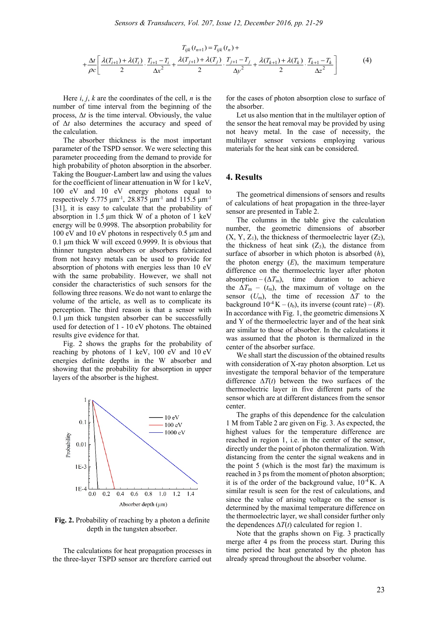$$
T_{ijk}(t_{n+1}) = T_{ijk}(t_n) +
$$
  
+  $\frac{\Delta t}{\rho c} \left[ \frac{\lambda(T_{i+1}) + \lambda(T_i)}{2} \cdot \frac{T_{i+1} - T_i}{\Delta x^2} + \frac{\lambda(T_{j+1}) + \lambda(T_j)}{2} \cdot \frac{T_{j+1} - T_j}{\Delta y^2} + \frac{\lambda(T_{k+1}) + \lambda(T_k)}{2} \cdot \frac{T_{k+1} - T_k}{\Delta z^2} \right]$  (4)

Here  $i, j, k$  are the coordinates of the cell,  $n$  is the number of time interval from the beginning of the process,  $\Delta t$  is the time interval. Obviously, the value of Δ*t* also determines the accuracy and speed of the calculation.

The absorber thickness is the most important parameter of the TSPD sensor. We were selecting this parameter proceeding from the demand to provide for high probability of photon absorption in the absorber. Taking the Bouguer-Lambert law and using the values for the coefficient of linear attenuation in W for 1 keV, 100 eV and 10 eV energy photons equal to respectively 5.775 μm<sup>-1</sup>, 28.875 μm<sup>-1</sup> and 115.5 μm<sup>-1</sup> [31], it is easy to calculate that the probability of absorption in 1.5 μm thick W of a photon of 1 keV energy will be 0.9998. The absorption probability for 100 eV and 10 eV photons in respectively 0.5 μm and 0.1 μm thick W will exceed 0.9999. It is obvious that thinner tungsten absorbers or absorbers fabricated from not heavy metals can be used to provide for absorption of photons with energies less than 10 eV with the same probability. However, we shall not consider the characteristics of such sensors for the following three reasons. We do not want to enlarge the volume of the article, as well as to complicate its perception. The third reason is that a sensor with 0.1 μm thick tungsten absorber can be successfully used for detection of 1 - 10 eV photons. The obtained results give evidence for that.

Fig. 2 shows the graphs for the probability of reaching by photons of 1 keV, 100 eV and 10 eV energies definite depths in the W absorber and showing that the probability for absorption in upper layers of the absorber is the highest.



**Fig. 2.** Probability of reaching by a photon a definite depth in the tungsten absorber.

The calculations for heat propagation processes in the three-layer TSPD sensor are therefore carried out for the cases of photon absorption close to surface of the absorber.

Let us also mention that in the multilayer option of the sensor the heat removal may be provided by using not heavy metal. In the case of necessity, the multilayer sensor versions employing various materials for the heat sink can be considered.

#### **4. Results**

The geometrical dimensions of sensors and results of calculations of heat propagation in the three-layer sensor are presented in Table 2.

The columns in the table give the calculation number, the geometric dimensions of absorber  $(X, Y, Z_1)$ , the thickness of thermoelectric layer  $(Z_2)$ , the thickness of heat sink  $(Z_3)$ , the distance from surface of absorber in which photon is absorbed (*h*), the photon energy  $(E)$ , the maximum temperature difference on the thermoelectric layer after photon absorption –  $(\Delta T_m)$ , time duration to achieve the  $\Delta T_{\text{m}}$  – ( $t_{\text{m}}$ ), the maximum of voltage on the sensor  $(U_m)$ , the time of recession  $\Delta T$  to the background  $10^{-4} K - (t_b)$ , its inverse (count rate) – (*R*). In accordance with Fig. 1, the geometric dimensions  $X$ and Y of the thermoelectric layer and of the heat sink are similar to those of absorber. In the calculations it was assumed that the photon is thermalized in the center of the absorber surface.

We shall start the discussion of the obtained results with consideration of X-ray photon absorption. Let us investigate the temporal behavior of the temperature difference ∆*T*(*t*) between the two surfaces of the thermoelectric layer in five different parts of the sensor which are at different distances from the sensor center.

The graphs of this dependence for the calculation 1 M from Table 2 are given on Fig. 3. As expected, the highest values for the temperature difference are reached in region 1, i.e. in the center of the sensor, directly under the point of photon thermalization. With distancing from the center the signal weakens and in the point 5 (which is the most far) the maximum is reached in 3 ps from the moment of photon absorption; it is of the order of the background value,  $10^{-4}$  K. A similar result is seen for the rest of calculations, and since the value of arising voltage on the sensor is determined by the maximal temperature difference on the thermoelectric layer, we shall consider further only the dependences ∆*T*(*t*) calculated for region 1.

Note that the graphs shown on Fig. 3 practically merge after 4 ps from the process start. During this time period the heat generated by the photon has already spread throughout the absorber volume.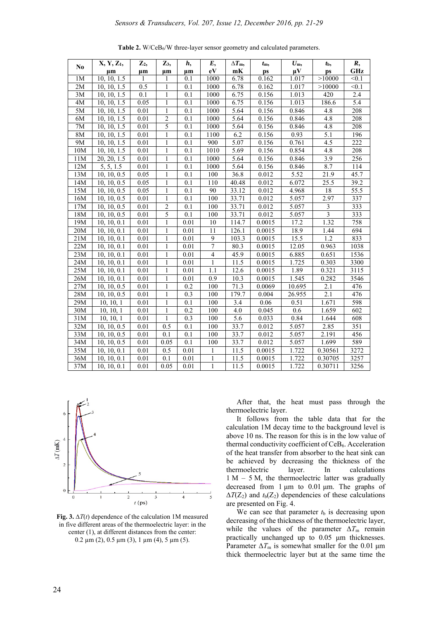| N <sub>0</sub> | X, Y, Z <sub>1</sub> ,    | $\mathbf{Z}_2$ | $\mathbf{Z}_3$ | h,               | E,             | $\Delta T$ m,     | $t_{\rm m}$ | $U_{\rm m}$ , | $t_{\rm b}$             | R,         |
|----------------|---------------------------|----------------|----------------|------------------|----------------|-------------------|-------------|---------------|-------------------------|------------|
|                | $\mu$ m                   | $\mu$ m        | $\mu$ m        | $\mu$ m          | eV             | mK                | ps          | $\mu V$       | ps                      | <b>GHz</b> |
| 1 <sub>M</sub> | 10, 10, 1.5               | 1              | 1              | 0.1              | 1000           | 6.78              | 0.162       | 1.017         | >10000                  | < 0.1      |
| 2M             | 10, 10, 1.5               | 0.5            | $\mathbf{1}$   | 0.1              | 1000           | 6.78              | 0.162       | 1.017         | >10000                  | < 0.1      |
| 3M             | $\overline{10, 10, 1.5}$  | 0.1            | $\mathbf{1}$   | 0.1              | 1000           | 6.75              | 0.156       | 1.013         | 420                     | 2.4        |
| 4M             | $\overline{10, 10}, 1.5$  | 0.05           | $\mathbf{1}$   | $\overline{0.1}$ | 1000           | 6.75              | 0.156       | 1.013         | 186.6                   | 5.4        |
| 5M             | 10, 10, 1.5               | 0.01           | 1              | 0.1              | 1000           | 5.64              | 0.156       | 0.846         | 4.8                     | 208        |
| 6M             | $\overline{10}$ , 10, 1.5 | 0.01           | $\overline{c}$ | 0.1              | 1000           | 5.64              | 0.156       | 0.846         | 4.8                     | 208        |
| 7M             | 10, 10, 1.5               | 0.01           | 5              | 0.1              | 1000           | 5.64              | 0.156       | 0.846         | 4.8                     | 208        |
| 8M             | 10, 10, 1.5               | 0.01           | 1              | 0.1              | 1100           | 6.2               | 0.156       | 0.93          | 5.1                     | 196        |
| 9M             | 10, 10, 1.5               | 0.01           | 1              | 0.1              | 900            | 5.07              | 0.156       | 0.761         | 4.5                     | 222        |
| 10M            | 10, 10, 1.5               | 0.01           | 1              | 0.1              | 1010           | 5.69              | 0.156       | 0.854         | 4.8                     | 208        |
| 11M            | 20, 20, 1.5               | 0.01           | $\mathbf{1}$   | 0.1              | 1000           | 5.64              | 0.156       | 0.846         | 3.9                     | 256        |
| 12M            | 5, 5, 1.5                 | 0.01           | 1              | 0.1              | 1000           | 5.64              | 0.156       | 0.846         | 8.7                     | 114        |
| 13M            | 10, 10, 0.5               | 0.05           | 1              | 0.1              | 100            | 36.8              | 0.012       | 5.52          | 21.9                    | 45.7       |
| 14M            | 10, 10, 0.5               | 0.05           | $\mathbf{1}$   | 0.1              | 110            | 40.48             | 0.012       | 6.072         | 25.5                    | 39.2       |
| 15M            | 10, 10, 0.5               | 0.05           | 1              | 0.1              | 90             | 33.12             | 0.012       | 4.968         | 18                      | 55.5       |
| 16M            | 10, 10, 0.5               | 0.01           | $\mathbf{1}$   | 0.1              | 100            | 33.71             | 0.012       | 5.057         | 2.97                    | 337        |
| 17M            | $\overline{10}$ , 10, 0.5 | 0.01           | $\overline{c}$ | 0.1              | 100            | 33.71             | 0.012       | 5.057         | $\mathfrak{Z}$          | 333        |
| 18M            | 10, 10, 0.5               | 0.01           | 5              | 0.1              | 100            | 33.71             | 0.012       | 5.057         | $\overline{\mathbf{3}}$ | 333        |
| 19M            | 10, 10, 0.1               | 0.01           | 1              | 0.01             | 10             | 114.7             | 0.0015      | 17.2          | 1.32                    | 758        |
| 20M            | $\overline{10}$ , 10, 0.1 | 0.01           | 1              | 0.01             | 11             | 126.1             | 0.0015      | 18.9          | 1.44                    | 694        |
| 21M            | 10, 10, 0.1               | 0.01           | 1              | 0.01             | 9              | 103.3             | 0.0015      | 15.5          | 1.2                     | 833        |
| 22M            | 10, 10, 0.1               | 0.01           | 1              | 0.01             | $\tau$         | 80.3              | 0.0015      | 12.05         | 0.963                   | 1038       |
| 23M            | 10, 10, 0.1               | 0.01           | 1              | 0.01             | $\overline{4}$ | 45.9              | 0.0015      | 6.885         | 0.651                   | 1536       |
| 24M            | 10, 10, 0.1               | 0.01           | $\mathbf{1}$   | 0.01             | $\mathbf{1}$   | $\overline{1}1.5$ | 0.0015      | 1.725         | 0.303                   | 3300       |
| 25M            | 10, 10, 0.1               | 0.01           | $\mathbf{1}$   | 0.01             | 1.1            | 12.6              | 0.0015      | 1.89          | 0.321                   | 3115       |
| 26M            | 10, 10, 0.1               | 0.01           | 1              | 0.01             | 0.9            | 10.3              | 0.0015      | 1.545         | 0.282                   | 3546       |
| 27M            | 10, 10, 0.5               | 0.01           | $\mathbf{1}$   | 0.2              | 100            | 71.3              | 0.0069      | 10.695        | 2.1                     | 476        |
| 28M            | 10, 10, 0.5               | 0.01           | $\mathbf{1}$   | 0.3              | 100            | 179.7             | 0.004       | 26.955        | 2.1                     | 476        |
| 29M            | 10, 10, 1                 | 0.01           | $\mathbf{1}$   | 0.1              | 100            | 3.4               | 0.06        | 0.51          | 1.671                   | 598        |
| 30M            | 10, 10, 1                 | 0.01           | 1              | 0.2              | 100            | 4.0               | 0.045       | 0.6           | 1.659                   | 602        |
| 31M            | 10, 10, 1                 | 0.01           | $\mathbf{1}$   | 0.3              | 100            | 5.6               | 0.033       | 0.84          | 1.644                   | 608        |
| 32M            | 10, 10, 0.5               | 0.01           | 0.5            | 0.1              | 100            | 33.7              | 0.012       | 5.057         | 2.85                    | 351        |
| 33M            | 10, 10, 0.5               | 0.01           | 0.1            | 0.1              | 100            | 33.7              | 0.012       | 5.057         | 2.191                   | 456        |
| 34M            | 10, 10, 0.5               | 0.01           | 0.05           | 0.1              | 100            | 33.7              | 0.012       | 5.057         | 1.699                   | 589        |
| 35M            | 10, 10, 0.1               | 0.01           | 0.5            | 0.01             | 1              | 11.5              | 0.0015      | 1.722         | 0.30561                 | 3272       |
| 36M            | $\overline{10, 10, 0.1}$  | 0.01           | 0.1            | 0.01             | 1              | 11.5              | 0.0015      | 1.722         | 0.30705                 | 3257       |
| 37M            | $\overline{10, 10, 0.1}$  | 0.01           | 0.05           | 0.01             | $\mathbf{1}$   | 11.5              | 0.0015      | 1.722         | 0.30711                 | 3256       |

**Table 2.** W/CeB6/W three-layer sensor geometry and calculated parameters.



**Fig. 3.** ∆*T*(*t*) dependence of the calculation 1M measured in five different areas of the thermoelectric layer: in the center (1), at different distances from the center:  $0.2 \mu m$  (2),  $0.5 \mu m$  (3), 1  $\mu m$  (4), 5  $\mu m$  (5).

After that, the heat must pass through the thermoelectric layer.

It follows from the table data that for the calculation 1M decay time to the background level is above 10 ns. The reason for this is in the low value of thermal conductivity coefficient of  $CeB<sub>6</sub>$ . Acceleration of the heat transfer from absorber to the heat sink can be achieved by decreasing the thickness of the thermoelectric layer. In calculations 1 M – 5 M, the thermoelectric latter was gradually decreased from 1 μm to 0.01 μm. The graphs of  $\Delta T(Z_2)$  and  $t_b(Z_2)$  dependencies of these calculations are presented on Fig. 4.

We can see that parameter  $t<sub>b</sub>$  is decreasing upon decreasing of the thickness of the thermoelectric layer, while the values of the parameter  $\Delta T_{\text{m}}$  remain practically unchanged up to 0.05 μm thicknesses. Parameter  $\Delta T_{\text{m}}$  is somewhat smaller for the 0.01 μm thick thermoelectric layer but at the same time the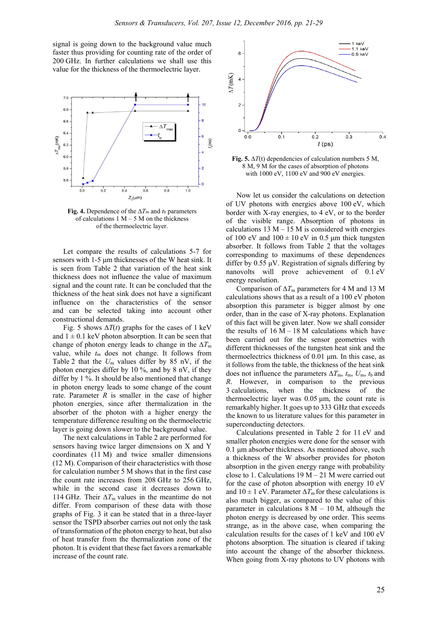signal is going down to the background value much faster thus providing for counting rate of the order of 200 GHz. In further calculations we shall use this value for the thickness of the thermoelectric layer.



**Fig. 4.** Dependence of the  $\Delta T$ m and *t*<sub>b</sub> parameters of calculations  $1 M - 5 M$  on the thickness of the thermoelectric layer.

Let compare the results of calculations 5-7 for sensors with 1-5 μm thicknesses of the W heat sink. It is seen from Table 2 that variation of the heat sink thickness does not influence the value of maximum signal and the count rate. It can be concluded that the thickness of the heat sink does not have a significant influence on the characteristics of the sensor and can be selected taking into account other constructional demands.

Fig. 5 shows  $\Delta T(t)$  graphs for the cases of 1 keV and  $1 \pm 0.1$  keV photon absorption. It can be seen that change of photon energy leads to change in the  $\Delta T_{\text{m}}$ value, while  $t_m$  does not change. It follows from Table 2 that the  $U_m$  values differ by 85 nV, if the photon energies differ by 10 %, and by 8 nV, if they differ by 1 %. It should be also mentioned that change in photon energy leads to some change of the count rate. Parameter *R* is smaller in the case of higher photon energies, since after thermalization in the absorber of the photon with a higher energy the temperature difference resulting on the thermoelectric layer is going down slower to the background value.

The next calculations in Table 2 are performed for sensors having twice larger dimensions on X and Y coordinates (11 M) and twice smaller dimensions (12 M). Comparison of their characteristics with those for calculation number 5 M shows that in the first case the count rate increases from 208 GHz to 256 GHz, while in the second case it decreases down to 114 GHz. Their  $\Delta T_{\text{m}}$  values in the meantime do not differ. From comparison of these data with those graphs of Fig. 3 it can be stated that in a three-layer sensor the TSPD absorber carries out not only the task of transformation of the photon energy to heat, but also of heat transfer from the thermalization zone of the photon. It is evident that these fact favors a remarkable increase of the count rate.



**Fig. 5.** ∆*T*(t) dependencies of calculation numbers 5 M, 8 M, 9 M for the cases of absorption of photons with 1000 eV, 1100 eV and 900 eV energies.

Now let us consider the calculations on detection of UV photons with energies above 100 eV, which border with X-ray energies, to 4 eV, or to the border of the visible range. Absorption of photons in calculations  $13 M - 15 M$  is considered with energies of 100 eV and  $100 \pm 10$  eV in 0.5  $\mu$ m thick tungsten absorber. It follows from Table 2 that the voltages corresponding to maximums of these dependences differ by  $0.55 \mu V$ . Registration of signals differing by nanovolts will prove achievement of 0.1 eV energy resolution.

Comparison of ∆*T*m parameters for 4 M and 13 M calculations shows that as a result of a 100 eV photon absorption this parameter is bigger almost by one order, than in the case of X-ray photons. Explanation of this fact will be given later. Now we shall consider the results of  $16 M - 18 M$  calculations which have been carried out for the sensor geometries with different thicknesses of the tungsten heat sink and the thermoelectrics thickness of 0.01 μm. In this case, as it follows from the table, the thickness of the heat sink does not influence the parameters  $\Delta T_{\text{m}}$ ,  $t_{\text{m}}$ ,  $U_{\text{m}}$ ,  $t_{\text{b}}$  and *R*. However, in comparison to the previous 3 calculations, when the thickness of the thermoelectric layer was 0.05 μm, the count rate is remarkably higher. It goes up to 333 GHz that exceeds the known to us literature values for this parameter in superconducting detectors.

Calculations presented in Table 2 for 11 eV and smaller photon energies were done for the sensor with 0.1 μm absorber thickness. As mentioned above, such a thickness of the W absorber provides for photon absorption in the given energy range with probability close to 1. Calculations  $19 M - 21 M$  were carried out for the case of photon absorption with energy 10 eV and  $10 \pm 1$  eV. Parameter  $\Delta T_{\text{m}}$  for these calculations is also much bigger, as compared to the value of this parameter in calculations  $8 M - 10 M$ , although the photon energy is decreased by one order. This seems strange, as in the above case, when comparing the calculation results for the cases of 1 keV and 100 eV photons absorption. The situation is cleared if taking into account the change of the absorber thickness. When going from X-ray photons to UV photons with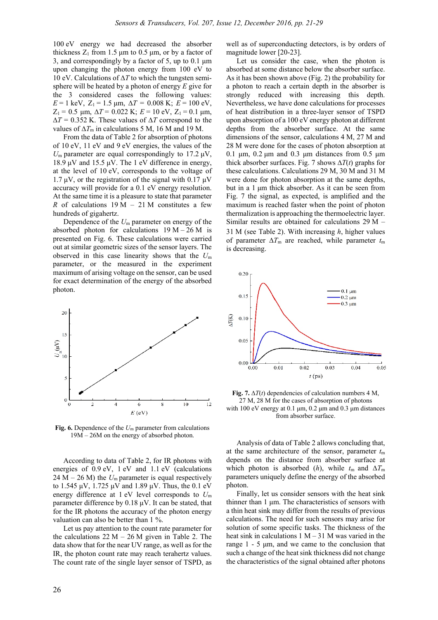100 eV energy we had decreased the absorber thickness  $Z_1$  from 1.5  $\mu$ m to 0.5  $\mu$ m, or by a factor of 3, and correspondingly by a factor of 5, up to 0.1 μm upon changing the photon energy from 100 eV to 10 eV. Calculations of ∆*T* to which the tungsten semisphere will be heated by a photon of energy *E* give for the 3 considered cases the following values:  $E = 1 \text{ keV}, Z_1 = 1.5 \text{ µm}, \Delta T = 0.008 \text{ K}; E = 100 \text{ eV},$  $Z_1 = 0.5$  μm,  $\Delta T = 0.022$  K;  $E = 10$  eV,  $Z_1 = 0.1$  μm, ∆*T* = 0.352 K. These values of ∆*T* correspond to the values of  $\Delta T_m$  in calculations 5 M, 16 M and 19 M.

From the data of Table 2 for absorption of photons of 10 eV, 11 eV and 9 eV energies, the values of the  $U_{\rm m}$  parameter are equal correspondingly to 17.2  $\mu$ V, 18.9 μV and 15.5 μV. The 1 eV difference in energy, at the level of 10 eV, corresponds to the voltage of 1.7 μV, or the registration of the signal with 0.17 μV accuracy will provide for a 0.1 eV energy resolution. At the same time it is a pleasure to state that parameter *R* of calculations  $19 M - 21 M$  constitutes a few hundreds of gigahertz.

Dependence of the *U*m parameter on energy of the absorbed photon for calculations  $19 M - 26 M$  is presented on Fig. 6. These calculations were carried out at similar geometric sizes of the sensor layers. The observed in this case linearity shows that the *U*<sup>m</sup> parameter, or the measured in the experiment maximum of arising voltage on the sensor, can be used for exact determination of the energy of the absorbed photon.



**Fig. 6.** Dependence of the *U*m parameter from calculations 19M – 26M on the energy of absorbed photon.

According to data of Table 2, for IR photons with energies of 0.9 eV, 1 eV and 1.1 eV (calculations  $24 M - 26 M$ ) the  $U_m$  parameter is equal respectively to 1.545 μV, 1.725 μV and 1.89 μV. Thus, the 0.1 eV energy difference at 1 eV level corresponds to *U*<sup>m</sup> parameter difference by 0.18 μV. It can be stated, that for the IR photons the accuracy of the photon energy valuation can also be better than 1 %.

Let us pay attention to the count rate parameter for the calculations  $22 M - 26 M$  given in Table 2. The data show that for the near UV range, as well as for the IR, the photon count rate may reach terahertz values. The count rate of the single layer sensor of TSPD, as well as of superconducting detectors, is by orders of magnitude lower [20-23].

Let us consider the case, when the photon is absorbed at some distance below the absorber surface. As it has been shown above (Fig. 2) the probability for a photon to reach a certain depth in the absorber is strongly reduced with increasing this depth. Nevertheless, we have done calculations for processes of heat distribution in a three-layer sensor of TSPD upon absorption of a 100 eV energy photon at different depths from the absorber surface. At the same dimensions of the sensor, calculations 4 M, 27 M and 28 M were done for the cases of photon absorption at  $0.1 \mu m$ ,  $0.2 \mu m$  and  $0.3 \mu m$  distances from 0.5  $\mu m$ thick absorber surfaces. Fig. 7 shows  $\Delta T(t)$  graphs for these calculations. Calculations 29 M, 30 M and 31 M were done for photon absorption at the same depths, but in a 1 μm thick absorber. As it can be seen from Fig. 7 the signal, as expected, is amplified and the maximum is reached faster when the point of photon thermalization is approaching the thermoelectric layer. Similar results are obtained for calculations 29 M – 31 M (see Table 2). With increasing *h*, higher values of parameter ∆*T*m are reached, while parameter *t*m is decreasing.



**Fig. 7.**  $\Delta T(t)$  dependencies of calculation numbers 4 M, 27 M, 28 M for the cases of absorption of photons with 100 eV energy at 0.1 μm,  $0.2 \mu$ m and  $0.3 \mu$ m distances from absorber surface.

Analysis of data of Table 2 allows concluding that, at the same architecture of the sensor, parameter  $t_m$ depends on the distance from absorber surface at which photon is absorbed (*h*), while  $t_m$  and  $\Delta T_m$ parameters uniquely define the energy of the absorbed photon.

Finally, let us consider sensors with the heat sink thinner than 1 μm. The characteristics of sensors with a thin heat sink may differ from the results of previous calculations. The need for such sensors may arise for solution of some specific tasks. The thickness of the heat sink in calculations  $1 M - 31 M$  was varied in the range 1 - 5 μm, and we came to the conclusion that such a change of the heat sink thickness did not change the characteristics of the signal obtained after photons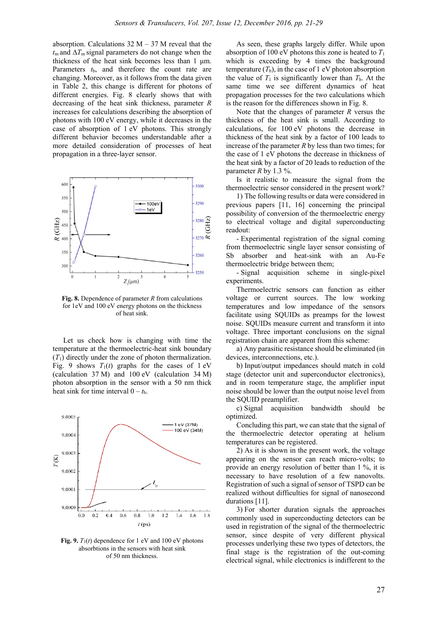absorption. Calculations  $32 M - 37 M$  reveal that the *t*m and ∆*T*m signal parameters do not change when the thickness of the heat sink becomes less than 1 μm. Parameters  $t<sub>b</sub>$ , and therefore the count rate are changing. Moreover, as it follows from the data given in Table 2, this change is different for photons of different energies. Fig. 8 clearly shows that with decreasing of the heat sink thickness, parameter *R* increases for calculations describing the absorption of photons with 100 eV energy, while it decreases in the case of absorption of 1 eV photons. This strongly different behavior becomes understandable after a more detailed consideration of processes of heat propagation in a three-layer sensor.



**Fig. 8.** Dependence of parameter *R* from calculations for 1eV and 100 eV energy photons on the thickness of heat sink.

Let us check how is changing with time the temperature at the thermoelectric-heat sink boundary  $(T_1)$  directly under the zone of photon thermalization. Fig. 9 shows  $T_1(t)$  graphs for the cases of 1 eV (calculation 37 M) and 100 eV (calculation 34 M) photon absorption in the sensor with a 50 nm thick heat sink for time interval  $0 - t<sub>b</sub>$ .



**Fig. 9.**  $T_1(t)$  dependence for 1 eV and 100 eV photons absorbtions in the sensors with heat sink of 50 nm thickness.

As seen, these graphs largely differ. While upon absorption of 100 eV photons this zone is heated to *T*<sup>1</sup> which is exceeding by 4 times the background temperature  $(T_b)$ , in the case of 1 eV photon absorption the value of  $T_1$  is significantly lower than  $T_b$ . At the same time we see different dynamics of heat propagation processes for the two calculations which is the reason for the differences shown in Fig. 8.

Note that the changes of parameter *R* versus the thickness of the heat sink is small. According to calculations, for 100 eV photons the decrease in thickness of the heat sink by a factor of 100 leads to increase of the parameter *R* by less than two times; for the case of 1 eV photons the decrease in thickness of the heat sink by a factor of 20 leads to reduction of the parameter  $R$  by 1.3 %.

Is it realistic to measure the signal from the thermoelectric sensor considered in the present work?

1) The following results or data were considered in previous papers [11, 16] concerning the principal possibility of conversion of the thermoelectric energy to electrical voltage and digital superconducting readout:

- Experimental registration of the signal coming from thermoelectric single layer sensor consisting of Sb absorber and heat-sink with an Au-Fe thermoelectric bridge between them;

- Signal acquisition scheme in single-pixel experiments.

Thermoelectric sensors can function as either voltage or current sources. The low working temperatures and low impedance of the sensors facilitate using SQUIDs as preamps for the lowest noise. SQUIDs measure current and transform it into voltage. Three important conclusions on the signal registration chain are apparent from this scheme:

a) Any parasitic resistance should be eliminated (in devices, interconnections, etc.).

b) Input/output impedances should match in cold stage (detector unit and superconductor electronics), and in room temperature stage, the amplifier input noise should be lower than the output noise level from the SQUID preamplifier.

c) Signal acquisition bandwidth should be optimized.

Concluding this part, we can state that the signal of the thermoelectric detector operating at helium temperatures can be registered.

2) As it is shown in the present work, the voltage appearing on the sensor can reach micro-volts; to provide an energy resolution of better than 1 %, it is necessary to have resolution of a few nanovolts. Registration of such a signal of sensor of TSPD can be realized without difficulties for signal of nanosecond durations [11].

3) For shorter duration signals the approaches commonly used in superconducting detectors can be used in registration of the signal of the thermoelectric sensor, since despite of very different physical processes underlying these two types of detectors, the final stage is the registration of the out-coming electrical signal, while electronics is indifferent to the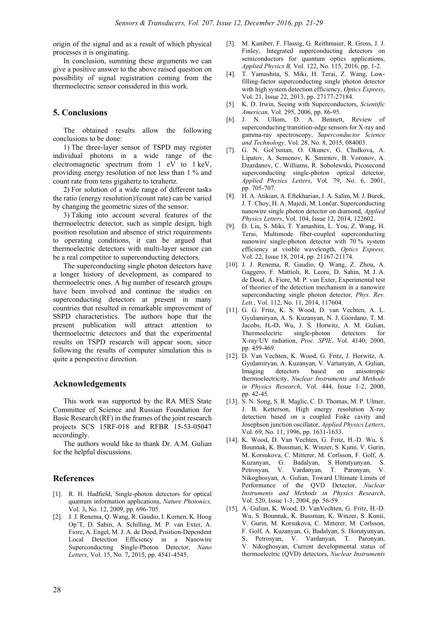origin of the signal and as a result of which physical processes it is originating.

In conclusion, summing these arguments we can give a positive answer to the above raised question on possibility of signal registration coming from the thermoelectric sensor considered in this work.

# **5. Conclusions**

The obtained results allow the following conclusions to be done:

1) The three-layer sensor of TSPD may register individual photons in a wide range of the electromagnetic spectrum from 1 eV to 1 keV, providing energy resolution of not less than 1 % and count rate from tens gigahertz to terahertz.

2) For solution of a wide range of different tasks the ratio (energy resolution)/(count rate) can be varied by changing the geometric sizes of the sensor.

3) Taking into account several features of the thermoelectric detector, such as simple design, high position resolution and absence of strict requirements to operating conditions, it can be argued that thermoelectric detectors with multi-layer sensor can be a real competitor to superconducting detectors.

The superconducting single photon detectors have a longer history of development, as compared to thermoelectric ones. A big number of research groups have been involved and continue the studies on superconducting detectors at present in many countries that resulted in remarkable improvement of SSPD characteristics. The authors hope that the present publication will attract attention to thermoelectric detectors and that the experimental results on TSPD research will appear soon, since following the results of computer simulation this is quite a perspective direction.

# **Acknowledgements**

This work was supported by the RA MES State Committee of Science and Russian Foundation for Basic Research (RF) in the frames of the joint research projects SCS 15RF-018 and RFBR 15-53-05047 accordingly.

The authors would like to thank Dr. A.M. Gulian for the helpful discussions.

# **References**

- [1]. R. H. Hadfield, Single-photon detectors for optical quantum information applications, *Nature Photonics,* Vol. 3**,** No. 12, 2009, pp. 696-705.
- [2]. J. J. Renema, Q. Wang, R. Gaudio, I. Komen, K. Hoog Op'T, D. Sahin, A. Schilling, M. P. van Exter, A. Fiore, A. Engel, M. J. A. de Dood, Position-Dependent Local Detection Efficiency in a Nanowire Superconducting Single-Photon Detector, *Nano Letters,* Vol. 15, No. 7**,** 2015, pp. 4541-4545.
- [3]. M. Kaniber, F. Flassig, G. Reithmaier, R. Gross, J. J. Finley, Integrated superconducting detectors on semiconductors for quantum optics applications, *Applied Physics B,* Vol. 122, No. 115, 2016, pp. 1-2.
- [4]. T. Yamashita, S. Miki, H. Terai, Z. Wang, Lowfilling-factor superconducting single photon detector with high system detection efficiency, *Optics Express*, Vol. 21, Issue 22, 2013, pp. 27177-27184.
- [5]. K. D. Irwin, Seeing with Superconductors, *Scientific American,* Vol. 295, 2006, pp. 86-95.
- [6]. J. N. Ullom, D. A. Bennett, Review of superconducting transition-edge sensors for X-ray and gamma-ray spectroscopy, *Superconductor Science and Technology,* Vol. 28, No. 8, 2015, 084003.
- [7]. G. N. Gol'tsman, O. Okunev, G. Chulkova, A. Lipatov, A. Semenov, K. Smirnov, B. Voronov, A. Dzardanov, C. Williams, R. Sobolewski, Picosecond superconducting single-photon optical detector, *Applied Physics Letters*, Vol. 79, No. 6, 2001, pp. 705-707.
- [8]. H. A. Atikian, A. Eftekharian, J. A. Salim, M. J. Burek, J. T. Choy, H. A. Majedi, M. Lončar, Superconducting nanowire single photon detector on diamond, *Applied Physics Letters*, Vol. 104, Issue 12, 2014, 122602.
- [9]. D. Liu, S. Miki, T. Yamashita, L. You, Z. Wang, H. Terai, Multimode fiber-coupled superconducting nanowire single-photon detector with 70 % system efficiency at visible wavelength, *Optics Express,*  Vol. 22, Issue 18, 2014, pp. 21167-21174.
- [10]. J. J. Renema, R. Gaudio, Q. Wang, Z. Zhou, A. Gaggero, F. Mattioli, R. Leoni, D. Sahin, M. J. A. de Dood, A. Fiore, M. P. van Exter, Experimental test of theories of the detection mechanism in a nanowire superconducting single photon detector, *Phys. Rev. Lett.*, Vol. 112, No. 11, 2014, 117604.
- [11]. G. G. Fritz, K. S. Wood, D. van Vechten, A. L. Gyulamiryan, A. S. Kuzanyan, N. J. Giordano, T. M. Jacobs, H**.-**D**.** Wu, J. S. Horwitz, A. M. Gulian, Thermoelectric single-photon detectors for X-ray/UV radiation, *Proc. SPIE*, Vol. 4140, 2000, pp. 459-469.
- [12]. D. Van Vechten, K. Wood, G. Fritz, J. Horwitz, A. Gyulamiryan, A. Kuzanyan, V. Vartanyan, A. Gulian, Imaging detectors based on anisotropic thermoelectricity, *Nuclear Instruments and Methods in Physics Research*, Vol. 444, Issue 1-2, 2000, pp. 42-45.
- [13]. S. N. Song, S. R. Maglic, C. D. Thomas, M. P. Ulmer, J. B. Ketterson, High energy resolution X-ray detection based on a coupled Fiske cavity and Josephson junction oscillator, *Applied Physics Letters*, Vol. 69, No. 11, 1996, pp. 1631-1633.
- [14]. K. Wood, D. Van Vechten, G. Fritz, H.-D. Wu, S. Bounnak, K. Bussman, K. Winzer, S. Kunii, V. Gurin, M. Korsukova, C. Mitterer, M. Corlsson, F. Golf, A. Kuzanyan, G. Badalyan, S. Horutyunyan, S. Petrosyan, V. Vardanyan, T. Paronyan, V. Nikoghosyan, A. Gulian, Toward Ultimate Limits of Performance of the QVD Detector, *Nuclear Instruments and Methods in Physics Research*, Vol. 520, Issue 1-3, 2004, pp. 56-59.
- [15]. A. Gulian, K. Wood, D. VanVechten, G. Fritz, H.-D. Wu, S. Bounnak, K. Bussman, K. Winzer, S. Kunii, V. Gurin, M. Korsukova, C. Mitterer, M. Corlsson, F. Golf, A. Kuzanyan, G. Badalyan, S. Horutyunyan, S. Petrosyan, V. Vardanyan, T. Paronyan, V. Nikoghosyan, Current developmental status of thermoelectric (QVD) detectors, *Nuclear Instruments*